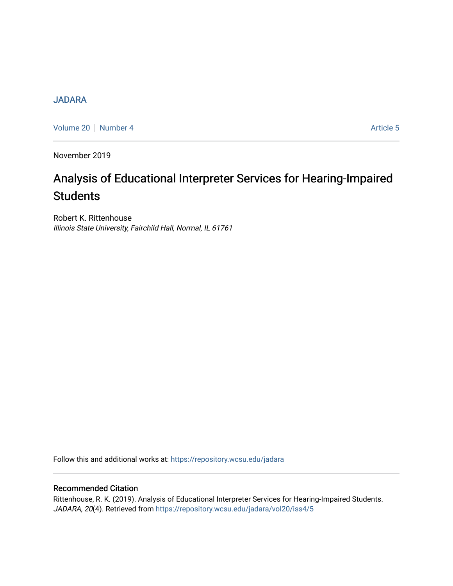# **[JADARA](https://repository.wcsu.edu/jadara)**

[Volume 20](https://repository.wcsu.edu/jadara/vol20) | [Number 4](https://repository.wcsu.edu/jadara/vol20/iss4) Article 5

November 2019

# Analysis of Educational Interpreter Services for Hearing-Impaired **Students**

Robert K. Rittenhouse Illinois State University, Fairchild Hall, Normal, IL 61761

Follow this and additional works at: [https://repository.wcsu.edu/jadara](https://repository.wcsu.edu/jadara?utm_source=repository.wcsu.edu%2Fjadara%2Fvol20%2Fiss4%2F5&utm_medium=PDF&utm_campaign=PDFCoverPages)

# Recommended Citation

Rittenhouse, R. K. (2019). Analysis of Educational Interpreter Services for Hearing-Impaired Students. JADARA, 20(4). Retrieved from [https://repository.wcsu.edu/jadara/vol20/iss4/5](https://repository.wcsu.edu/jadara/vol20/iss4/5?utm_source=repository.wcsu.edu%2Fjadara%2Fvol20%2Fiss4%2F5&utm_medium=PDF&utm_campaign=PDFCoverPages)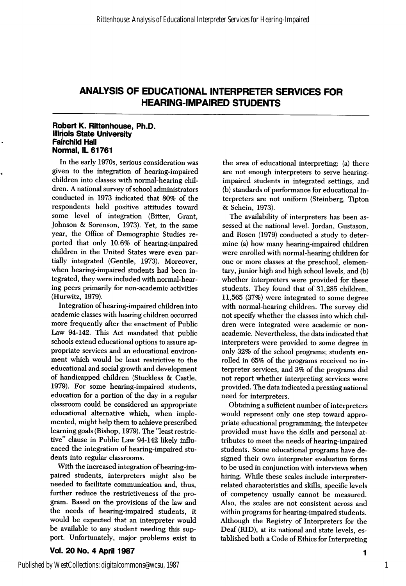#### Robert K. Rittenhouse, Ph.D. Illihois State University Fairchild Hall Normal, IL 61761

In the early 1970s, serious consideration was given to the integration of hearing-impaired children into classes with normal-hearing chil dren. A national survey of school administrators conducted in 1973 indicated that 80% of the respondents held positive attitudes toward some level of integration (Bitter, Grant, Johnson & Sorenson, 1973). Yet, in the same year, the Office of Demographic Studies re ported that only 10.6% of hearing-impaired children in the United States were even par tially integrated (Gentile, 1973). Moreover, when hearing-impaired students had been in tegrated, they were included with normal-hear ing peers primarily for non-academic activities (Hurwitz, 1979).

Integration of hearing-impaired children into academic classes with hearing children occurred more frequently after the enactment of Public Law 94-142. This Act mandated that public schools extend educational options to assure ap propriate services and an educational environ ment which would be least restrictive to the educational and social growth and development of handicapped children (Stuckless & Gastle, 1979). For some hearing-impaired students, education for a portion of the day in a regular classroom could be considered an appropriate educational alternative which, when imple mented, might help them to achieve prescribed learning goals (Bishop, 1979). The "least restric tive" clause in Public Law 94-142 likely influ enced the integration of hearing-impaired stu dents into regular classrooms.

With the increased integration of hearing-im paired students, interpreters might also be needed to facilitate communication and, thus, further reduce the restrictiveness of the pro gram. Based on the provisions of the law and the needs of hearing-impaired students, it would be expected that an interpreter would be available to any student needing this sup port. Unfortunately, major problems exist in

Vol. 20 No. 4 April 1987

the area of educational interpreting: (a) there are not enough interpreters to serve hearingimpaired students in integrated settings, and (b) standards of performance for educational in terpreters are not uniform (Steinberg, Tipton & Schein, 1973).

The availability of interpreters has been as sessed at the national level. Jordan, Gustason, and Rosen (1979) conducted a study to deter mine (a) how many hearing-impaired children were enrolled with normal-hearing children for one or more classes at the preschool, elemen tary, junior high and high school levels, and (b) whether interpreters were provided for these students. They found that of 31,285 children, 11,565 (37%) were integrated to some degree with normal-hearing children. The survey did not specify whether the classes into which chil dren were integrated were academic or nonacademic. Nevertheless, the data indicated that interpreters were provided to some degree in only 32% of the school programs; students en rolled in 65% of the programs received no in terpreter services, and 3% of the programs did not report whether interpreting services were provided. The data indicated a pressing national need for interpreters.

Obtaining a sufficient number of interpreters would represent only one step toward appro priate educational programming; the interpeter provided must have the skills and personal at tributes to meet the needs of hearing-impaired students. Some educational programs have de signed their own interpreter evaluation forms to be used in conjunction with interviews when hiring. While these scales include interpreterrelated characteristics and skills, specific levels of competency usually cannot be measured. Also, the scales are not consistent across and within programs for hearing-impaired students. Although the Registry of Interpreters for the Deaf (RID), at its national and state levels, es tablished both a Gode of Ethics for Interpreting

Published by WestCollections: digitalcommons@wcsu, 1987

1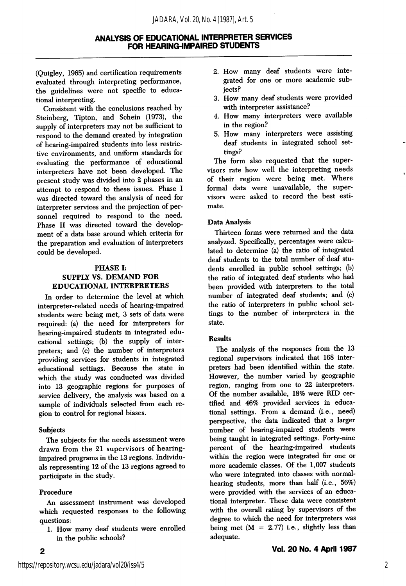(Quigley, 1965) and certification requirements evaluated through interpreting performance, the guidelines were not specific to educa tional interpreting.

Consistent with the conclusions reached by Steinberg, Tipton, and Schein (1973), the supply of interpreters may not be sufficient to respond to the demand created by integration of hearing-impaired students into less restric tive environments, and uniform standards for evaluating the performance of educational interpreters have not been developed. The present study was divided into 2 phases in an attempt to respond to these issues. Phase 1 was directed toward the analysis of need for interpreter services and the projection of per sonnel required to respond to the need. Phase II was directed toward the develop ment of a data base around which criteria for the preparation and evaluation of interpreters could be developed.

# PHASE I; SUPPLY VS. DEMAND FOR EDUCATIONAL INTERPRETERS

In order to determine the level at which interpreter-related needs of hearing-impaired students were being met, 3 sets of data were required: (a) the need for interpreters for hearing-impaired students in integrated edu cational settings; (b) the supply of inter preters; and (c) the number of interpreters providing services for students in integrated educational settings. Because the state in which the study was conducted was divided into 13 geographic regions for purposes of service delivery, the analysis was based on a sample of individuals selected from each re gion to control for regional biases.

#### **Subjects**

The subjects for the needs assessment were drawn from the 21 supervisors of hearingimpaired programs in the 13 regions. Individu als representing 12 of the 13 regions agreed to participate in the study.

# Procedure

 $\mathbf{2}$ 

An assessment instrument was developed which requested responses to the following questions:

I. How many deaf students were enrolled in the public schools?

- 2. How many deaf students were inte grated for one or more academic sub jects?
- 3. How many deaf students were provided with interpreter assistance?
- 4. How many interpreters were available in the region?
- 5. How many interpreters were assisting deaf students in integrated school set tings?

The form also requested that the super visors rate how well the interpreting needs of their region were being met. Where formal data were unavailable, the supervisors were asked to record the best esti mate.

# Data Analysis

Thirteen forms were returned and the data analyzed. Specifically, percentages were calcu lated to determine (a) the ratio of integrated deaf students to the total number of deaf stu dents enrolled in public school settings; (b) the ratio of integrated deaf students who had been provided with interpreters to the total number of integrated deaf students; and (c) the ratio of interpreters in public school set tings to the number of interpreters in the state.

#### Results

The analysis of the responses from the 13 regional supervisors indicated that 168 inter preters had been identified within the state. However, the number varied by geographic region, ranging from one to 22 interpreters. Of the number available, 18% were RID cer tified and 46% provided services in educa tional settings. From a demand (i.e., need) perspective, the data indicated that a larger number of hearing-impaired students were being taught in integrated settings. Forty-nine percent of the hearing-impaired students within the region were integrated for one or more academic classes. Of the 1,007 students who were integrated into classes with normalhearing students, more than half (i.e., 56%) were provided with the services of an educa tional interpreter. These data were consistent with the overall rating by supervisors of the degree to which the need for interpreters was being met  $(M = 2.77)$  i.e., slightly less than adequate.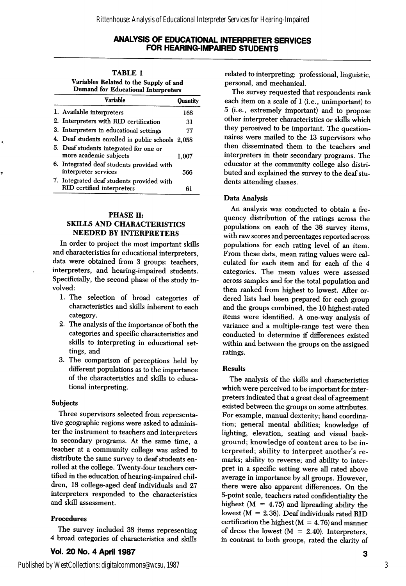| <b>TABLE 1</b>                                                                       |                 |
|--------------------------------------------------------------------------------------|-----------------|
| Variables Related to the Supply of and<br><b>Demand for Educational Interpreters</b> |                 |
| Variable                                                                             | <b>Ouantity</b> |

| 1. Available interpreters                                               | 168   |
|-------------------------------------------------------------------------|-------|
| 2. Interpreters with RID certification                                  | 31    |
| 3. Interpreters in educational settings                                 | 77    |
| 4. Deaf students enrolled in public schools 2,058                       |       |
| 5. Deaf students integrated for one or<br>more academic subjects        | 1.007 |
| 6. Integrated deaf students provided with<br>interpreter services       | 566   |
| 7. Integrated deaf students provided with<br>RID certified interpreters | 61    |

#### PHASE H: SKILLS AND CHARACTERISTICS NEEDED BY INTERPRETERS

In order to project the most important skills and characteristics for educational interpreters, data were obtained from 3 groups: teachers, interpreters, and hearing-impaired students. Specificially, the second phase of the study in volved:

- 1. The selection of hroad categories of characteristics and skills inherent to each category.
- 2. The analysis of the importance of both the categories and specific characteristics and skills to interpreting in educational set tings, and
- 3. The comparison of perceptions held by different populations as to the importance of the characteristics and skills to educa tional interpreting.

# Subjects

Three supervisors selected from representa tive geographic regions were asked to adminis ter the instrument to teachers and interpreters in secondary programs. At the same time, a teacher at a community college was asked to distribute the same survey to deaf students en rolled at the college. Twenty-four teachers cer tified in the education of hearing-impaired chil dren, 18 college-aged deaf individuals and 27 interpreters responded to the characteristics and skill assessment.

# Procedures

The survey included 38 items representing 4 broad categories of characteristics and skills

# Vol. 20 No. 4 April 1987

related to interpreting: professional, linguistic, personal, and mechanical.

The survey requested that respondents rank each item on a scale of 1 (i.e., unimportant) to 5 (i.e., extremely important) and to propose other interpreter characteristics or skills which they perceived to be important. The question naires were mailed to the 13 supervisors who then disseminated them to the teachers and interpreters in their secondary programs. The educator at the community college also distri buted and explained the survey to the deaf stu dents attending classes.

# Data Analysis

An analysis was conducted to obtain a fre quency distribution of the ratings across the populations on each of the 38 survey items, with raw scores and percentages reported across populations for each rating level of an item. From these data, mean rating values were cal culated for each item and for each of the 4 categories. The mean values were assessed across samples and for the total population and then ranked from highest to lowest. After or dered lists had been prepared for each group and the groups combined, the 10 highest-rated items were identified. A one-way analysis of variance and a multiple-range test were then conducted to determine if differences existed within and between the groups on the assigned ratings.

# **Results**

The analysis of the skills and characteristics which were perceived to be important for inter preters indicated that a great deal of agreement existed between the groups on some attributes. For example, manual dexterity; hand coordina tion; general mental abilities; knowledge of lighting, elevation, seating and visual back ground; knowledge of content area to be in terpreted; ability to interpret another's re marks; ability to reverse; and ability to inter pret in a specific setting were all rated above average in importance by all groups. However, there were also apparent differences. On the 5-point scale, teachers rated confidentiality the highest  $(M = 4.75)$  and lipreading ability the lowest ( $M = 2.38$ ). Deaf individuals rated RID certification the highest  $(M = 4.76)$  and manner of dress the lowest  $(M = 2.40)$ . Interpreters, in contrast to both groups, rated the clarity of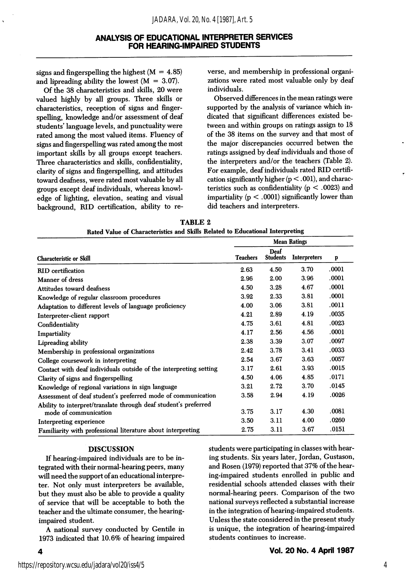signs and fingerspelling the highest  $(M = 4.85)$ and lipreading ability the lowest  $(M = 3.07)$ .

Of the 38 characteristics and skills, 20 were valued highly by all groups. Three skills or characteristics, reception of signs and fingerspelling, knowledge and/or assessment of deaf students' language levels, and punctuality were rated among the most valued items. Fluency of signs and fingerspelling was rated among the most important skills by all groups except teachers. Three characteristics and skills, confidentiality, clarity of signs and fingerspelling, and attitudes toward deafness, were rated most valuable by all groups except deaf individuals, whereas knowl edge of lighting, elevation, seating and visual background, RID certification, ability to re verse, and membership in professional organi zations were rated most valuable only by deaf individuals.

Observed differences in the mean ratings were supported by the analysis of variance which in dicated that significant differences existed be tween and within groups on ratings assign to 18 of the 38 items on the survey and that most of the major discrepancies occurred betwen the ratings assigned by deaf individuals and those of the interpreters and/or the teachers (Table 2). For example, deaf individuals rated RID certifi cation significantly higher  $(p < .001)$ , and characteristics such as confidentiality ( $p < .0023$ ) and impartiality  $(p < .0001)$  significantly lower than did teachers and interpreters.

| TABLE 2                                                                       |  |  |  |  |  |  |  |
|-------------------------------------------------------------------------------|--|--|--|--|--|--|--|
| Rated Value of Characteristics and Skills Related to Educational Interpreting |  |  |  |  |  |  |  |

|                                                                   | <b>Mean Ratings</b> |                         |                     |       |
|-------------------------------------------------------------------|---------------------|-------------------------|---------------------|-------|
| <b>Characteristic or Skill</b>                                    | <b>Teachers</b>     | Deaf<br><b>Students</b> | <b>Interpreters</b> | p     |
| <b>RID</b> certification                                          | 2.63                | 4.50                    | 3.70                | .0001 |
| Manner of dress                                                   | 2.96                | 2.00                    | 3.96                | .0001 |
| Attitudes toward deafness                                         | 4.50                | 3.28                    | 4.67                | .0001 |
| Knowledge of regular classroom procedures                         | 3.92                | 2.33                    | 3.81                | .0001 |
| Adaptation to different levels of language proficiency            | 4.00                | 3.06                    | 3.81                | .0011 |
| Interpreter-client rapport                                        | 4.21                | 2.89                    | 4.19                | .0035 |
| Confidentiality                                                   | 4.75                | 3.61                    | 4.81                | .0023 |
| Impartiality                                                      | 4.17                | 2.56                    | 4.56                | .0001 |
| Lipreading ability                                                | 2.38                | 3.39                    | 3.07                | .0097 |
| Membership in professional organizations                          | 2.42                | 3.78                    | 3.41                | .0033 |
| College coursework in interpreting                                | 2.54                | 3.67                    | 3.63                | .0057 |
| Contact with deaf individuals outside of the interpreting setting | 3.17                | 2.61                    | 3.93                | .0015 |
| Clarity of signs and fingerspelling                               | 4.50                | 4.06                    | 4.85                | .0171 |
| Knowledge of regional variations in sign language                 | 3.21                | 2.72                    | 3.70                | .0145 |
| Assessment of deaf student's preferred mode of communication      | 3.58                | 2.94                    | 4.19                | .0026 |
| Ability to interpret/translate through deaf student's preferred   |                     |                         |                     |       |
| mode of communication                                             | 3.75                | 3.17                    | 4.30                | .0081 |
| Interpreting experience                                           | 3.50                | 3.11                    | 4.00                | .0260 |
| Familiarity with professional literature about interpreting       | 2.75                | 3.11                    | 3.67                | .0151 |

#### DISCUSSION

If hearing-impaired individuals are to be in tegrated with their normal-hearing peers, many will need the support of an educational interpre ter. Not only must interpreters be available, but they must also be able to provide a quality of service that will be acceptable to both the teacher and the ultimate consumer, the hearingimpaired student.

A national survey conducted by Gentile in 1973 indicated that 10.6% of hearing impaired students were participating in classes with hear ing students. Six years later, Jordan, Gustason, and Rosen (1979) reported that 37% of the hear ing-impaired students enrolled in public and residential schools attended classes with their normal-hearing peers. Gomparison of the two national surveys reflected a substantial increase in the integration of hearing-impaired students. Unless the state considered in the present study is unique, the integration of hearing-impaired students continues to increase.

4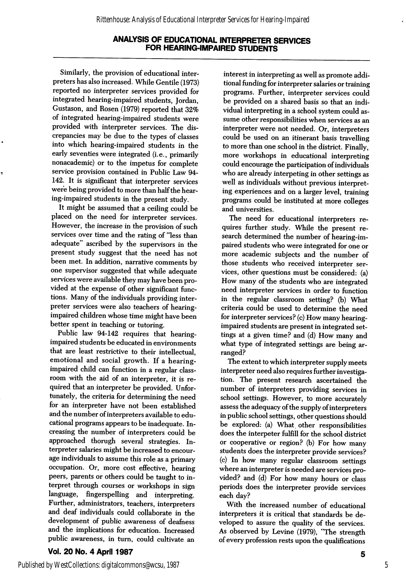Similarly, the provision of educational inter preters has also increased. While Gentile (1973) reported no interpreter services provided for integrated hearing-impaired students, Jordan, Gustason, and Rosen (1979) reported that 32% of integrated hearing-impaired students were provided with interpreter services. The dis crepancies may be due to the types of classes into which hearing-impaired students in the early seventies were integrated (i.e., primarily nonacademic) or to the impetus for complete service provision contained in Public Law 94- 142. It is significant that interpreter services were being provided to more than half the hearing-impaired students in the present study.

It might be assumed that a ceiling could be placed on the need for interpreter services. However, the increase in the provision of such services over time and the rating of "less than adequate" ascribed by the supervisors in the present study suggest that the need has not been met. In addition, narrative comments by one supervisor suggested that while adequate services were available they may have been pro vided at the expense of other significant func tions. Many of the individuals providing inter preter services were also teachers of hearingimpaired children whose time might have been better spent in teaching or tutoring.

Public law 94-142 requires that hearingimpaired students be educated in environments that are least restrictive to their intellectual, emotional and social growth. If a hearingimpaired child can function in a regular class room with the aid of an interpreter, it is re quired that an interpreter be provided. Unfor tunately, the criteria for determining the need for an interpreter have not been established and the number of interpreters available to edu cational programs appears to be inadequate. In creasing the number of interpreters could be approached thorugh several strategies. In terpreter salaries might be increased to encour age individuals to assume this role as a primary occupation. Or, more cost effective, hearing peers, parents or others could be taught to in terpret through courses or workshops in sign language, fingerspelling and interpreting. Further, administrators, teachers, interpreters and deaf individuals could collaborate in the development of public awareness of deafness and the implications for education. Increased public awareness, in turn, could cultivate an

Vol. 20 No. 4 April 1987

interest in interpreting as well as promote addi tional funding for interpreter salaries or training programs. Further, interpreter services could be provided on a shared basis so that an indi vidual interpreting in a school system could as sume other responsibilities when services as an interpreter were not needed. Or, interpreters could be used on an itinerant basis travelling to more than one school in the district. Finally, more workshops in educational interpreting could encourage the participation of individuals who are already interpeting in other settings as well as individuals without previous interpret ing experiences and on a larger level, training programs could be instituted at more colleges and universities.

The need for educational interpreters re quires further study. While the present re search determined the number of hearing-im paired students who were integrated for one or more academic subjects and the number of those students who received interpreter ser vices, other questions must be considered: (a) How many of the students who are integrated need interpreter services in order to function in the regular classroom setting? (b) What criteria could be used to determine the need for interpreter services? (c) How many hearingimpaired students are present in integrated set tings at a given time? and (d) How many and what type of integrated settings are being ar ranged?

The extent to which interpreter supply meets interpreter need also requires further investiga tion. The present research ascertained the number of interpreters providing services in school settings. However, to more accurately assess the adequacy of the supply of interpreters in public school settings, other questions should be explored: (a) What other responsibilities does the interpeter fulfill for the school district or cooperative or region? (b) For how many students does the interpreter provide services? (c) In how many regular classroom settings where an interpreter is needed are services pro vided? and (d) For how many hours or class periods does the interpreter provide services each day?

With the increased number of educational interpreters it is critical that standards be de veloped to assure the quality of the services. As observed by Levine (1979), "The strength of every profession rests upon the qualifications